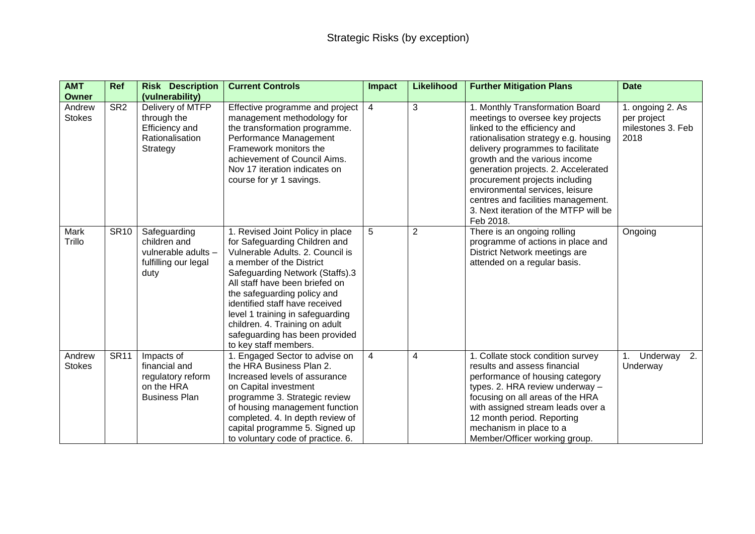| <b>AMT</b><br><b>Owner</b> | <b>Ref</b>              | <b>Risk Description</b><br>(vulnerability)                                             | <b>Current Controls</b>                                                                                                                                                                                                                                                                                                                                                                                  | Impact                  | <b>Likelihood</b> | <b>Further Mitigation Plans</b>                                                                                                                                                                                                                                                                                                                                                                                            | <b>Date</b>                                                  |
|----------------------------|-------------------------|----------------------------------------------------------------------------------------|----------------------------------------------------------------------------------------------------------------------------------------------------------------------------------------------------------------------------------------------------------------------------------------------------------------------------------------------------------------------------------------------------------|-------------------------|-------------------|----------------------------------------------------------------------------------------------------------------------------------------------------------------------------------------------------------------------------------------------------------------------------------------------------------------------------------------------------------------------------------------------------------------------------|--------------------------------------------------------------|
| Andrew<br><b>Stokes</b>    | $\overline{\text{SR2}}$ | Delivery of MTFP<br>through the<br>Efficiency and<br>Rationalisation<br>Strategy       | Effective programme and project<br>management methodology for<br>the transformation programme.<br>Performance Management<br>Framework monitors the<br>achievement of Council Aims.<br>Nov 17 iteration indicates on<br>course for yr 1 savings.                                                                                                                                                          | 4                       | 3                 | 1. Monthly Transformation Board<br>meetings to oversee key projects<br>linked to the efficiency and<br>rationalisation strategy e.g. housing<br>delivery programmes to facilitate<br>growth and the various income<br>generation projects. 2. Accelerated<br>procurement projects including<br>environmental services, leisure<br>centres and facilities management.<br>3. Next iteration of the MTFP will be<br>Feb 2018. | 1. ongoing 2. As<br>per project<br>milestones 3. Feb<br>2018 |
| Mark<br>Trillo             | <b>SR10</b>             | Safeguarding<br>children and<br>vulnerable adults -<br>fulfilling our legal<br>duty    | 1. Revised Joint Policy in place<br>for Safeguarding Children and<br>Vulnerable Adults, 2, Council is<br>a member of the District<br>Safeguarding Network (Staffs).3<br>All staff have been briefed on<br>the safeguarding policy and<br>identified staff have received<br>level 1 training in safeguarding<br>children. 4. Training on adult<br>safeguarding has been provided<br>to key staff members. | 5                       | $\overline{2}$    | There is an ongoing rolling<br>programme of actions in place and<br>District Network meetings are<br>attended on a regular basis.                                                                                                                                                                                                                                                                                          | Ongoing                                                      |
| Andrew<br><b>Stokes</b>    | <b>SR11</b>             | Impacts of<br>financial and<br>regulatory reform<br>on the HRA<br><b>Business Plan</b> | 1. Engaged Sector to advise on<br>the HRA Business Plan 2.<br>Increased levels of assurance<br>on Capital investment<br>programme 3. Strategic review<br>of housing management function<br>completed. 4. In depth review of<br>capital programme 5. Signed up<br>to voluntary code of practice. 6.                                                                                                       | $\overline{\mathbf{4}}$ | 4                 | 1. Collate stock condition survey<br>results and assess financial<br>performance of housing category<br>types. 2. HRA review underway -<br>focusing on all areas of the HRA<br>with assigned stream leads over a<br>12 month period. Reporting<br>mechanism in place to a<br>Member/Officer working group.                                                                                                                 | 2.<br>Underway<br>1 <sub>1</sub><br>Underway                 |